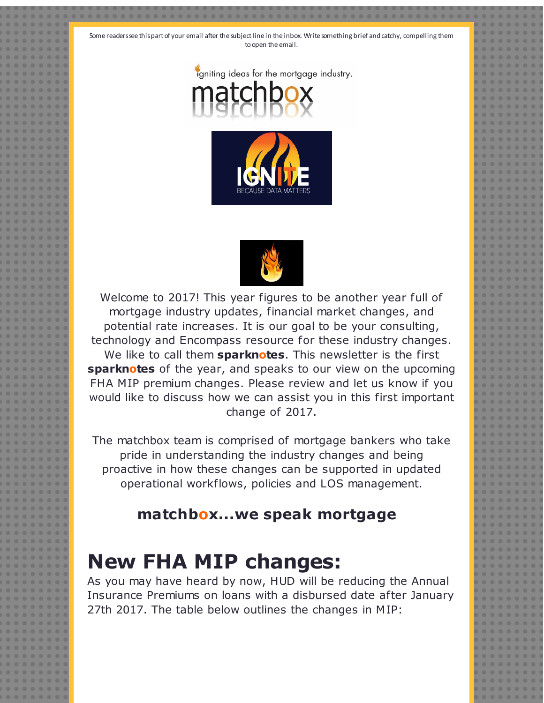Some readers see this part of your email after the subject line in the inbox. Write something brief and catchy, compelling them to open the email.







Welcome to 2017! This year figures to be another year full of mortgage industry updates, financial market changes, and potential rate increases. It is our goal to be your consulting, technology and Encompass resource for these industry changes. We like to call them **sparknotes**. This newsletter is the first **sparknotes** of the year, and speaks to our view on the upcoming FHA MIP premium changes. Please review and let us know if you would like to discuss how we can assist you in this first important change of 2017.

The matchbox team is comprised of mortgage bankers who take pride in understanding the industry changes and being proactive in how these changes can be supported in updated operational workflows, policies and LOS management.

## **matchbox...we speak mortgage**

## **New FHA MIP changes:**

As you may have heard by now, HUD will be reducing the Annual Insurance Premiums on loans with a disbursed date after January 27th 2017. The table below outlines the changes in MIP: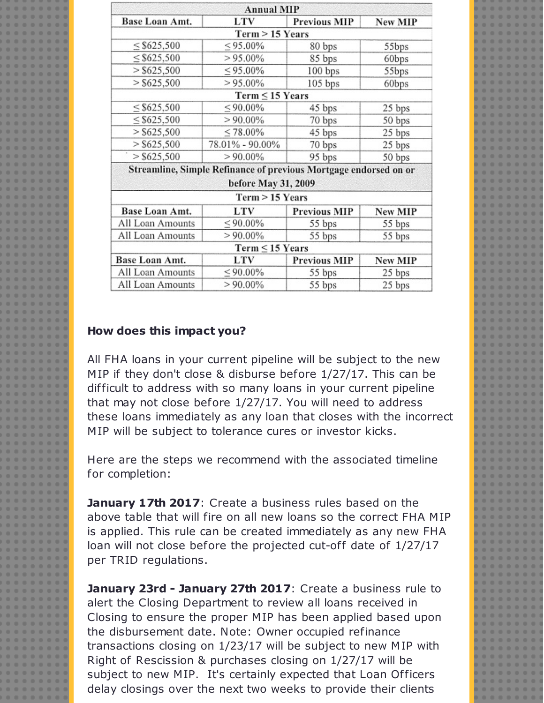|                  | <b>Annual MIP</b>                                                |                     |                |
|------------------|------------------------------------------------------------------|---------------------|----------------|
| Base Loan Amt.   | LTV                                                              | <b>Previous MIP</b> | <b>New MIP</b> |
|                  | Term > 15 Years                                                  |                     |                |
| $\leq$ \$625,500 | $\leq 95.00\%$                                                   | 80 bps              | 55bps          |
| $\leq$ \$625,500 | $> 95.00\%$                                                      | 85 bps              | 60bps          |
| $>$ \$625,500    | $< 95.00\%$                                                      | 100 bps             | 55bps          |
| $>$ \$625,500    | $> 95.00\%$                                                      | $105$ bps           | 60bps          |
|                  | $Term \leq 15$ Years                                             |                     |                |
| $\leq$ \$625,500 | $< 90.00\%$                                                      | 45 bps              | 25 bps         |
| $\leq$ \$625,500 | $> 90.00\%$                                                      | 70 bps              | 50 bps         |
| $>$ \$625,500    | $\leq 78.00\%$                                                   | 45 bps              | 25 bps         |
| $>$ \$625,500    | 78.01% - 90.00%                                                  | 70 bps              | 25 bps         |
| $>$ \$625,500    | $> 90.00\%$                                                      | 95 bps              | 50 bps         |
|                  | Streamline, Simple Refinance of previous Mortgage endorsed on or |                     |                |
|                  | before May 31, 2009                                              |                     |                |
|                  | Term > 15 Years                                                  |                     |                |
| Base Loan Amt.   | LTV                                                              | <b>Previous MIP</b> | <b>New MIP</b> |
| All Loan Amounts | $\leq 90.00\%$                                                   | 55 bps              | 55 bps         |
| All Loan Amounts | $> 90.00\%$                                                      | 55 bps              | 55 bps         |
|                  | $Term \leq 15$ Years                                             |                     |                |
| Base Loan Amt.   | LTV                                                              | Previous MIP        | <b>New MIP</b> |
| All Loan Amounts | $\leq 90.00\%$                                                   | 55 bps              | 25 bps         |
| All Loan Amounts | $> 90.00\%$                                                      | 55 bps              | 25 bps         |
|                  |                                                                  |                     |                |

## **How does this impact you?**

All FHA loans in your current pipeline will be subject to the new MIP if they don't close & disburse before 1/27/17. This can be difficult to address with so many loans in your current pipeline that may not close before 1/27/17. You will need to address these loans immediately as any loan that closes with the incorrect MIP will be subject to tolerance cures or investor kicks.

Here are the steps we recommend with the associated timeline for completion:

**January 17th 2017**: Create a business rules based on the above table that will fire on all new loans so the correct FHA MIP is applied. This rule can be created immediately as any new FHA loan will not close before the projected cut-off date of 1/27/17 per TRID regulations.

**January 23rd - January 27th 2017**: Create a business rule to alert the Closing Department to review all loans received in Closing to ensure the proper MIP has been applied based upon the disbursement date. Note: Owner occupied refinance transactions closing on 1/23/17 will be subject to new MIP with Right of Rescission & purchases closing on 1/27/17 will be subject to new MIP. It's certainly expected that Loan Officers delay closings over the next two weeks to provide their clients